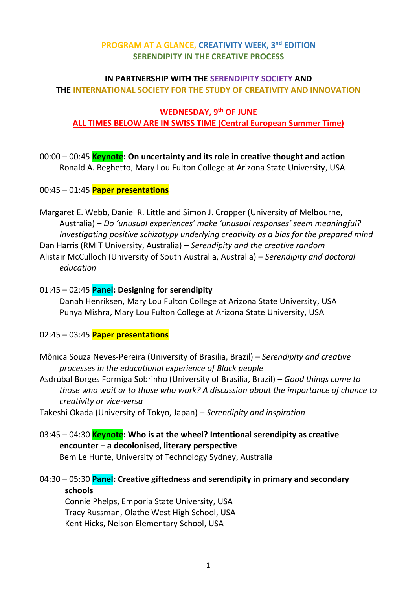## **PROGRAM AT A GLANCE, CREATIVITY WEEK, 3 nd EDITION SERENDIPITY IN THE CREATIVE PROCESS**

### **IN PARTNERSHIP WITH THE SERENDIPITY SOCIETY AND THE INTERNATIONAL SOCIETY FOR THE STUDY OF CREATIVITY AND INNOVATION**

### **WEDNESDAY, 9 th OF JUNE ALL TIMES BELOW ARE IN SWISS TIME (Central European Summer Time)**

# 00:00 – 00:45 **Keynote: On uncertainty and its role in creative thought and action** Ronald A. Beghetto, Mary Lou Fulton College at Arizona State University, USA

### 00:45 – 01:45 **Paper presentations**

Margaret E. Webb, Daniel R. Little and Simon J. Cropper (University of Melbourne, Australia) – *Do 'unusual experiences' make 'unusual responses' seem meaningful? Investigating positive schizotypy underlying creativity as a bias for the prepared mind* Dan Harris (RMIT University, Australia) – *Serendipity and the creative random* Alistair McCulloch (University of South Australia, Australia) – *Serendipity and doctoral education*

### 01:45 – 02:45 **Panel: Designing for serendipity**

Danah Henriksen, Mary Lou Fulton College at Arizona State University, USA Punya Mishra, Mary Lou Fulton College at Arizona State University, USA

#### 02:45 – 03:45 **Paper presentations**

Mônica Souza Neves-Pereira (University of Brasilia, Brazil) – *Serendipity and creative processes in the educational experience of Black people* 

Asdrúbal Borges Formiga Sobrinho (University of Brasilia, Brazil) – *Good things come to those who wait or to those who work? A discussion about the importance of chance to creativity or vice-versa*

Takeshi Okada (University of Tokyo, Japan) – *Serendipity and inspiration*

# 03:45 – 04:30 **Keynote: Who is at the wheel? Intentional serendipity as creative encounter – a decolonised, literary perspective**

Bem Le Hunte, University of Technology Sydney, Australia

04:30 – 05:30 **Panel: Creative giftedness and serendipity in primary and secondary schools**

Connie Phelps, Emporia State University, USA Tracy Russman, Olathe West High School, USA Kent Hicks, Nelson Elementary School, USA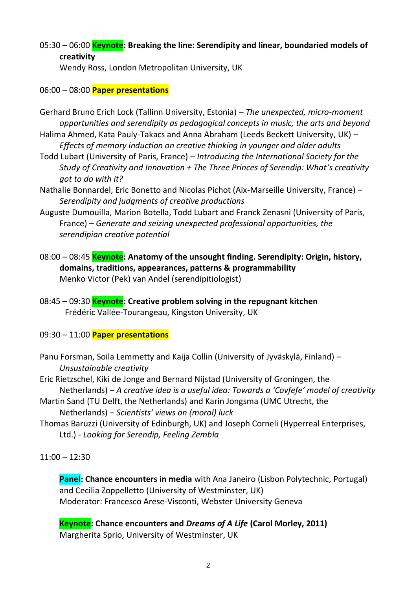# 05:30 – 06:00 **Keynote: Breaking the line: Serendipity and linear, boundaried models of creativity**

Wendy Ross, London Metropolitan University, UK

### 06:00 – 08:00 **Paper presentations**

- Gerhard Bruno Erich Lock (Tallinn University, Estonia) *The unexpected, micro-moment opportunities and serendipity as pedagogical concepts in music, the arts and beyond*
- Halima Ahmed, Kata Pauly-Takacs and Anna Abraham (Leeds Beckett University, UK) *Effects of memory induction on creative thinking in younger and older adults*
- Todd Lubart (University of Paris, France) *Introducing the International Society for the Study of Creativity and Innovation + The Three Princes of Serendip: What's creativity got to do with it?*
- Nathalie Bonnardel, Eric Bonetto and Nicolas Pichot (Aix-Marseille University, France) *Serendipity and judgments of creative productions*
- Auguste Dumouilla, Marion Botella, Todd Lubart and Franck Zenasni (University of Paris, France) – *Generate and seizing unexpected professional opportunities, the serendipian creative potential*
- 08:00 08:45 **Keynote: Anatomy of the unsought finding. Serendipity: Origin, history, domains, traditions, appearances, patterns & programmability** Menko Victor (Pek) van Andel (serendipitiologist)
- 08:45 09:30 **Keynote: Creative problem solving in the repugnant kitchen** Frédéric Vallée-Tourangeau, Kingston University, UK

#### 09:30 – 11:00 **Paper presentations**

- Panu Forsman, Soila Lemmetty and Kaija Collin (University of Jyväskylä, Finland) *Unsustainable creativity*
- Eric Rietzschel, Kiki de Jonge and Bernard Nijstad (University of Groningen, the Netherlands) – *A creative idea is a useful idea: Towards a 'Covfefe' model of creativity*
- Martin Sand (TU Delft, the Netherlands) and Karin Jongsma (UMC Utrecht, the Netherlands) – *Scientists' views on (moral) luck*
- Thomas Baruzzi (University of Edinburgh, UK) and Joseph Corneli (Hyperreal Enterprises, Ltd.) - *Looking for Serendip, Feeling Zembla*

 $11:00 - 12:30$ 

**Panel: Chance encounters in media** with Ana Janeiro (Lisbon Polytechnic, Portugal) and Cecilia Zoppelletto (University of Westminster, UK) Moderator: Francesco Arese-Visconti, Webster University Geneva

**Keynote: Chance encounters and** *Dreams of A Life* **(Carol Morley, 2011)** Margherita Sprio, University of Westminster, UK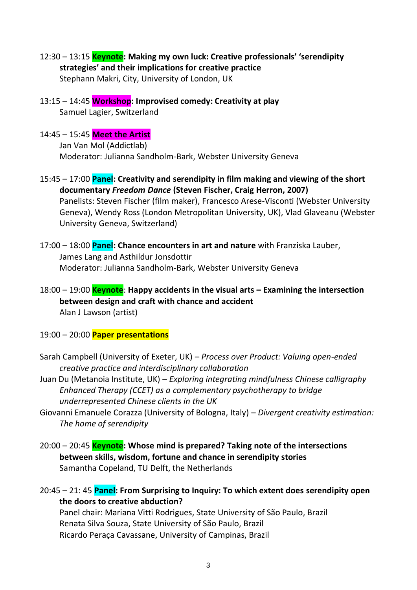- 12:30 13:15 **Keynote: Making my own luck: Creative professionals' 'serendipity strategies' and their implications for creative practice** Stephann Makri, City, University of London, UK
- 13:15 14:45 **Workshop: Improvised comedy: Creativity at play** Samuel Lagier, Switzerland

### 14:45 – 15:45 **Meet the Artist**

Jan Van Mol (Addictlab) Moderator: Julianna Sandholm-Bark, Webster University Geneva

- 15:45 17:00 **Panel: Creativity and serendipity in film making and viewing of the short documentary** *Freedom Dance* **(Steven Fischer, Craig Herron, 2007)** Panelists: Steven Fischer (film maker), Francesco Arese-Visconti (Webster University Geneva), Wendy Ross (London Metropolitan University, UK), Vlad Glaveanu (Webster University Geneva, Switzerland)
- 17:00 18:00 **Panel: Chance encounters in art and nature** with Franziska Lauber, James Lang and Asthildur Jonsdottir Moderator: Julianna Sandholm-Bark, Webster University Geneva
- 18:00 19:00 **Keynote**: **Happy accidents in the visual arts – Examining the intersection between design and craft with chance and accident** Alan J Lawson (artist)
- 19:00 20:00 **Paper presentations**
- Sarah Campbell (University of Exeter, UK) *Process over Product: Valuing open-ended creative practice and interdisciplinary collaboration*
- Juan Du (Metanoia Institute, UK) *Exploring integrating mindfulness Chinese calligraphy Enhanced Therapy (CCET) as a complementary psychotherapy to bridge underrepresented Chinese clients in the UK*
- Giovanni Emanuele Corazza (University of Bologna, Italy) *Divergent creativity estimation: The home of serendipity*
- 20:00 20:45 **Keynote: Whose mind is prepared? Taking note of the intersections between skills, wisdom, fortune and chance in serendipity stories** Samantha Copeland, TU Delft, the Netherlands

20:45 – 21: 45 **Panel: From Surprising to Inquiry: To which extent does serendipity open the doors to creative abduction?** Panel chair: Mariana Vitti Rodrigues, State University of São Paulo, Brazil Renata Silva Souza, State University of São Paulo, Brazil Ricardo Peraça Cavassane, University of Campinas, Brazil